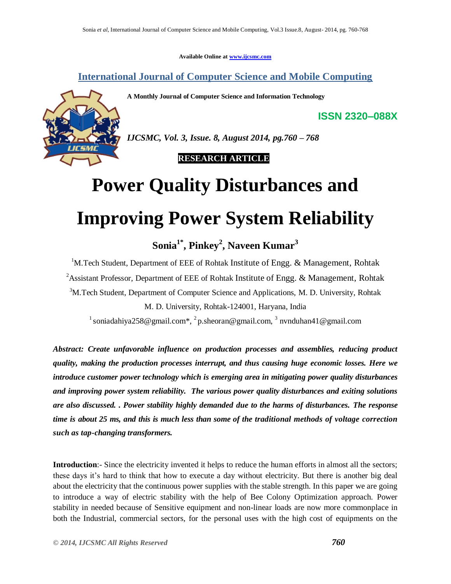**Available Online at www.ijcsmc.com**

**International Journal of Computer Science and Mobile Computing**

**A Monthly Journal of Computer Science and Information Technology**



*IJCSMC, Vol. 3, Issue. 8, August 2014, pg.760 – 768*

 **RESEARCH ARTICLE**

# **Power Quality Disturbances and Improving Power System Reliability**

**Sonia1\* , Pinkey<sup>2</sup> , Naveen Kumar<sup>3</sup>**

<sup>1</sup>M.Tech Student, Department of EEE of Rohtak Institute of Engg.  $\&$  Management, Rohtak <sup>2</sup> Assistant Professor, Department of EEE of Rohtak Institute of Engg. & Management, Rohtak <sup>3</sup>M.Tech Student, Department of Computer Science and Applications, M. D. University, Rohtak M. D. University, Rohtak-124001, Haryana, India

<sup>1</sup> soniadahiya258@gmail.com<sup>\*</sup>, <sup>2</sup> p.sheoran@gmail.com, <sup>3</sup> nvnduhan41@gmail.com

*Abstract: Create unfavorable influence on production processes and assemblies, reducing product quality, making the production processes interrupt, and thus causing huge economic losses. Here we introduce customer power technology which is emerging area in mitigating power quality disturbances and improving power system reliability. The various power quality disturbances and exiting solutions are also discussed. . Power stability highly demanded due to the harms of disturbances. The response time is about 25 ms, and this is much less than some of the traditional methods of voltage correction such as tap-changing transformers.* 

**Introduction**:- Since the electricity invented it helps to reduce the human efforts in almost all the sectors; these days it's hard to think that how to execute a day without electricity. But there is another big deal about the electricity that the continuous power supplies with the stable strength. In this paper we are going to introduce a way of electric stability with the help of Bee Colony Optimization approach. Power stability in needed because of Sensitive equipment and non-linear loads are now more commonplace in both the Industrial, commercial sectors, for the personal uses with the high cost of equipments on the

**ISSN 2320–088X**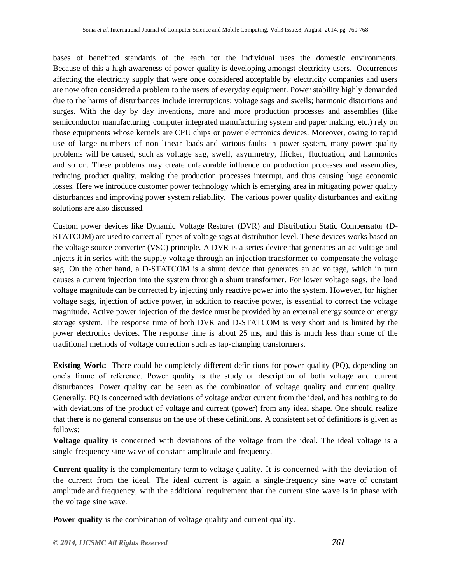bases of benefited standards of the each for the individual uses the domestic environments. Because of this a high awareness of power quality is developing amongst electricity users. Occurrences affecting the electricity supply that were once considered acceptable by electricity companies and users are now often considered a problem to the users of everyday equipment. Power stability highly demanded due to the harms of disturbances include interruptions; voltage sags and swells; harmonic distortions and surges. With the day by day inventions, more and more production processes and assemblies (like semiconductor manufacturing, computer integrated manufacturing system and paper making, etc.) rely on those equipments whose kernels are CPU chips or power electronics devices. Moreover, owing to rapid use of large numbers of non-linear loads and various faults in power system, many power quality problems will be caused, such as voltage sag, swell, asymmetry, flicker, fluctuation, and harmonics and so on. These problems may create unfavorable influence on production processes and assemblies, reducing product quality, making the production processes interrupt, and thus causing huge economic losses. Here we introduce customer power technology which is emerging area in mitigating power quality disturbances and improving power system reliability. The various power quality disturbances and exiting solutions are also discussed.

Custom power devices like Dynamic Voltage Restorer (DVR) and Distribution Static Compensator (D-STATCOM) are used to correct all types of voltage sags at distribution level. These devices works based on the voltage source converter (VSC) principle. A DVR is a series device that generates an ac voltage and injects it in series with the supply voltage through an injection transformer to compensate the voltage sag. On the other hand, a D-STATCOM is a shunt device that generates an ac voltage, which in turn causes a current injection into the system through a shunt transformer. For lower voltage sags, the load voltage magnitude can be corrected by injecting only reactive power into the system. However, for higher voltage sags, injection of active power, in addition to reactive power, is essential to correct the voltage magnitude. Active power injection of the device must be provided by an external energy source or energy storage system. The response time of both DVR and D-STATCOM is very short and is limited by the power electronics devices. The response time is about 25 ms, and this is much less than some of the traditional methods of voltage correction such as tap-changing transformers.

**Existing Work:-** There could be completely different definitions for power quality (PQ), depending on one's frame of reference. Power quality is the study or description of both voltage and current disturbances. Power quality can be seen as the combination of voltage quality and current quality. Generally, PQ is concerned with deviations of voltage and/or current from the ideal, and has nothing to do with deviations of the product of voltage and current (power) from any ideal shape. One should realize that there is no general consensus on the use of these definitions. A consistent set of definitions is given as follows:

**Voltage quality** is concerned with deviations of the voltage from the ideal. The ideal voltage is a single-frequency sine wave of constant amplitude and frequency.

**Current quality** is the complementary term to voltage quality. It is concerned with the deviation of the current from the ideal. The ideal current is again a single-frequency sine wave of constant amplitude and frequency, with the additional requirement that the current sine wave is in phase with the voltage sine wave.

**Power quality** is the combination of voltage quality and current quality.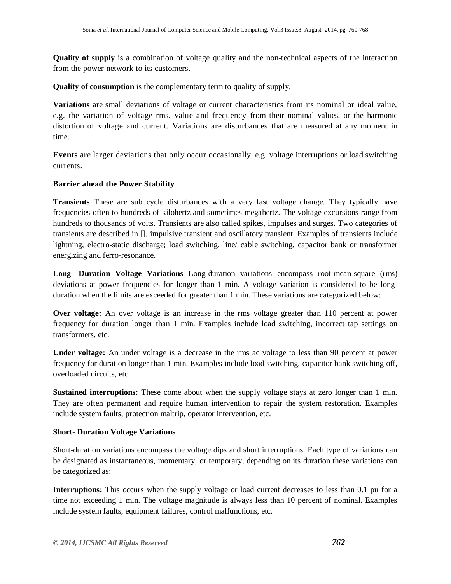**Quality of supply** is a combination of voltage quality and the non-technical aspects of the interaction from the power network to its customers.

**Quality of consumption** is the complementary term to quality of supply.

**Variations** are small deviations of voltage or current characteristics from its nominal or ideal value, e.g. the variation of voltage rms. value and frequency from their nominal values, or the harmonic distortion of voltage and current. Variations are disturbances that are measured at any moment in time.

**Events** are larger deviations that only occur occasionally, e.g. voltage interruptions or load switching currents.

### **Barrier ahead the Power Stability**

**Transients** These are sub cycle disturbances with a very fast voltage change. They typically have frequencies often to hundreds of kilohertz and sometimes megahertz. The voltage excursions range from hundreds to thousands of volts. Transients are also called spikes, impulses and surges. Two categories of transients are described in [], impulsive transient and oscillatory transient. Examples of transients include lightning, electro-static discharge; load switching, line/ cable switching, capacitor bank or transformer energizing and ferro-resonance.

**Long- Duration Voltage Variations** Long-duration variations encompass root-mean-square (rms) deviations at power frequencies for longer than 1 min. A voltage variation is considered to be longduration when the limits are exceeded for greater than 1 min. These variations are categorized below:

**Over voltage:** An over voltage is an increase in the rms voltage greater than 110 percent at power frequency for duration longer than 1 min. Examples include load switching, incorrect tap settings on transformers, etc.

**Under voltage:** An under voltage is a decrease in the rms ac voltage to less than 90 percent at power frequency for duration longer than 1 min. Examples include load switching, capacitor bank switching off, overloaded circuits, etc.

**Sustained interruptions:** These come about when the supply voltage stays at zero longer than 1 min. They are often permanent and require human intervention to repair the system restoration. Examples include system faults, protection maltrip, operator intervention, etc.

### **Short- Duration Voltage Variations**

Short-duration variations encompass the voltage dips and short interruptions. Each type of variations can be designated as instantaneous, momentary, or temporary, depending on its duration these variations can be categorized as:

**Interruptions:** This occurs when the supply voltage or load current decreases to less than 0.1 pu for a time not exceeding 1 min. The voltage magnitude is always less than 10 percent of nominal. Examples include system faults, equipment failures, control malfunctions, etc.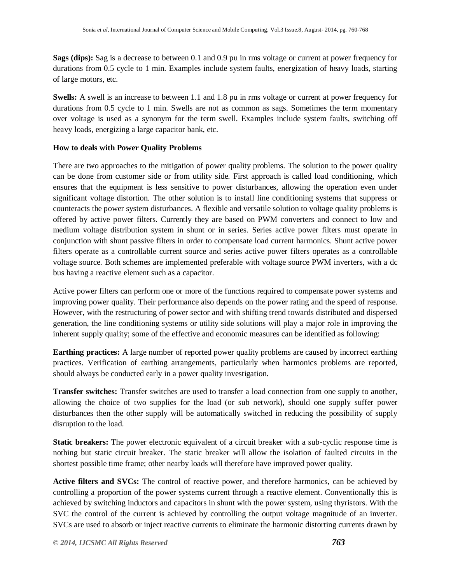**Sags (dips):** Sag is a decrease to between 0.1 and 0.9 pu in rms voltage or current at power frequency for durations from 0.5 cycle to 1 min. Examples include system faults, energization of heavy loads, starting of large motors, etc.

**Swells:** A swell is an increase to between 1.1 and 1.8 pu in rms voltage or current at power frequency for durations from 0.5 cycle to 1 min. Swells are not as common as sags. Sometimes the term momentary over voltage is used as a synonym for the term swell. Examples include system faults, switching off heavy loads, energizing a large capacitor bank, etc.

#### **How to deals with Power Quality Problems**

There are two approaches to the mitigation of power quality problems. The solution to the power quality can be done from customer side or from utility side. First approach is called load conditioning, which ensures that the equipment is less sensitive to power disturbances, allowing the operation even under significant voltage distortion. The other solution is to install line conditioning systems that suppress or counteracts the power system disturbances. A flexible and versatile solution to voltage quality problems is offered by active power filters. Currently they are based on PWM converters and connect to low and medium voltage distribution system in shunt or in series. Series active power filters must operate in conjunction with shunt passive filters in order to compensate load current harmonics. Shunt active power filters operate as a controllable current source and series active power filters operates as a controllable voltage source. Both schemes are implemented preferable with voltage source PWM inverters, with a dc bus having a reactive element such as a capacitor.

Active power filters can perform one or more of the functions required to compensate power systems and improving power quality. Their performance also depends on the power rating and the speed of response. However, with the restructuring of power sector and with shifting trend towards distributed and dispersed generation, the line conditioning systems or utility side solutions will play a major role in improving the inherent supply quality; some of the effective and economic measures can be identified as following:

**Earthing practices:** A large number of reported power quality problems are caused by incorrect earthing practices. Verification of earthing arrangements, particularly when harmonics problems are reported, should always be conducted early in a power quality investigation.

**Transfer switches:** Transfer switches are used to transfer a load connection from one supply to another, allowing the choice of two supplies for the load (or sub network), should one supply suffer power disturbances then the other supply will be automatically switched in reducing the possibility of supply disruption to the load.

**Static breakers:** The power electronic equivalent of a circuit breaker with a sub-cyclic response time is nothing but static circuit breaker. The static breaker will allow the isolation of faulted circuits in the shortest possible time frame; other nearby loads will therefore have improved power quality.

**Active filters and SVCs:** The control of reactive power, and therefore harmonics, can be achieved by controlling a proportion of the power systems current through a reactive element. Conventionally this is achieved by switching inductors and capacitors in shunt with the power system, using thyristors. With the SVC the control of the current is achieved by controlling the output voltage magnitude of an inverter. SVCs are used to absorb or inject reactive currents to eliminate the harmonic distorting currents drawn by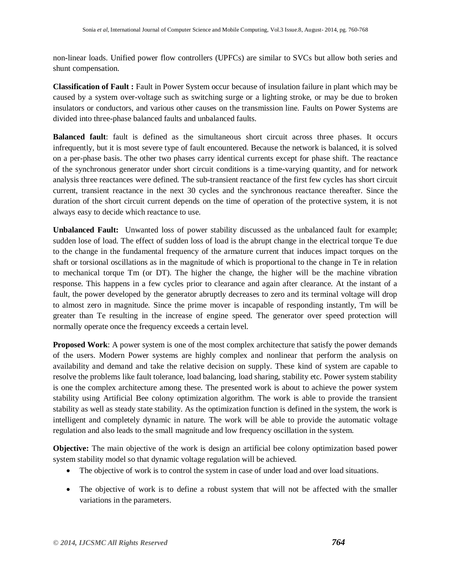non-linear loads. Unified power flow controllers (UPFCs) are similar to SVCs but allow both series and shunt compensation.

**Classification of Fault :** Fault in Power System occur because of insulation failure in plant which may be caused by a system over-voltage such as switching surge or a lighting stroke, or may be due to broken insulators or conductors, and various other causes on the transmission line. Faults on Power Systems are divided into three-phase balanced faults and unbalanced faults.

**Balanced fault**: fault is defined as the simultaneous short circuit across three phases. It occurs infrequently, but it is most severe type of fault encountered. Because the network is balanced, it is solved on a per-phase basis. The other two phases carry identical currents except for phase shift. The reactance of the synchronous generator under short circuit conditions is a time-varying quantity, and for network analysis three reactances were defined. The sub-transient reactance of the first few cycles has short circuit current, transient reactance in the next 30 cycles and the synchronous reactance thereafter. Since the duration of the short circuit current depends on the time of operation of the protective system, it is not always easy to decide which reactance to use.

**Unbalanced Fault:** Unwanted loss of power stability discussed as the unbalanced fault for example; sudden lose of load. The effect of sudden loss of load is the abrupt change in the electrical torque Te due to the change in the fundamental frequency of the armature current that induces impact torques on the shaft or torsional oscillations as in the magnitude of which is proportional to the change in Te in relation to mechanical torque Tm (or DT). The higher the change, the higher will be the machine vibration response. This happens in a few cycles prior to clearance and again after clearance. At the instant of a fault, the power developed by the generator abruptly decreases to zero and its terminal voltage will drop to almost zero in magnitude. Since the prime mover is incapable of responding instantly, Tm will be greater than Te resulting in the increase of engine speed. The generator over speed protection will normally operate once the frequency exceeds a certain level.

**Proposed Work**: A power system is one of the most complex architecture that satisfy the power demands of the users. Modern Power systems are highly complex and nonlinear that perform the analysis on availability and demand and take the relative decision on supply. These kind of system are capable to resolve the problems like fault tolerance, load balancing, load sharing, stability etc. Power system stability is one the complex architecture among these. The presented work is about to achieve the power system stability using Artificial Bee colony optimization algorithm. The work is able to provide the transient stability as well as steady state stability. As the optimization function is defined in the system, the work is intelligent and completely dynamic in nature. The work will be able to provide the automatic voltage regulation and also leads to the small magnitude and low frequency oscillation in the system.

**Objective:** The main objective of the work is design an artificial bee colony optimization based power system stability model so that dynamic voltage regulation will be achieved.

- The objective of work is to control the system in case of under load and over load situations.
- The objective of work is to define a robust system that will not be affected with the smaller variations in the parameters.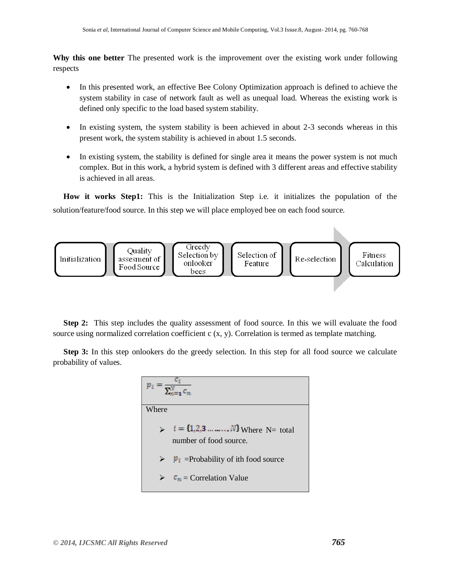**Why this one better** The presented work is the improvement over the existing work under following respects

- In this presented work, an effective Bee Colony Optimization approach is defined to achieve the system stability in case of network fault as well as unequal load. Whereas the existing work is defined only specific to the load based system stability.
- In existing system, the system stability is been achieved in about 2-3 seconds whereas in this present work, the system stability is achieved in about 1.5 seconds.
- In existing system, the stability is defined for single area it means the power system is not much complex. But in this work, a hybrid system is defined with 3 different areas and effective stability is achieved in all areas.

**How it works Step1:** This is the Initialization Step i.e. it initializes the population of the solution/feature/food source. In this step we will place employed bee on each food source.



**Step 2:** This step includes the quality assessment of food source. In this we will evaluate the food source using normalized correlation coefficient c (x, y). Correlation is termed as template matching.

**Step 3:** In this step onlookers do the greedy selection. In this step for all food source we calculate probability of values.

| $p_i = \frac{c_i}{\sum_{i=1}^{N} c_i}$                                             |  |  |  |
|------------------------------------------------------------------------------------|--|--|--|
|                                                                                    |  |  |  |
| $\sum_{i=1}^{n} i = \{1,2,3, \ldots, N\}$ Where N= total<br>number of food source. |  |  |  |
| $\triangleright$ $\boldsymbol{p}_i$ =Probability of ith food source                |  |  |  |
| $c_n$ = Correlation Value                                                          |  |  |  |
|                                                                                    |  |  |  |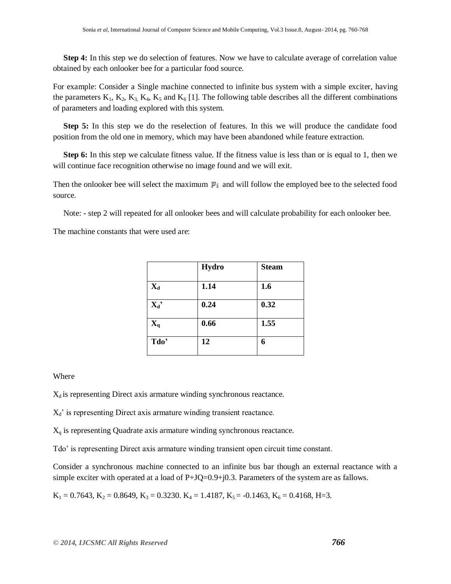**Step 4:** In this step we do selection of features. Now we have to calculate average of correlation value obtained by each onlooker bee for a particular food source.

For example: Consider a Single machine connected to infinite bus system with a simple exciter, having the parameters  $K_1$ ,  $K_2$ ,  $K_3$ ,  $K_4$ ,  $K_5$  and  $K_6$  [1]. The following table describes all the different combinations of parameters and loading explored with this system.

**Step 5:** In this step we do the reselection of features. In this we will produce the candidate food position from the old one in memory, which may have been abandoned while feature extraction.

**Step 6:** In this step we calculate fitness value. If the fitness value is less than or is equal to 1, then we will continue face recognition otherwise no image found and we will exit.

Then the onlooker bee will select the maximum  $\mathbf{p}_i$  and will follow the employed bee to the selected food source.

Note: - step 2 will repeated for all onlooker bees and will calculate probability for each onlooker bee.

The machine constants that were used are:

|                           | Hydro | <b>Steam</b> |
|---------------------------|-------|--------------|
| $\mathbf{X}_{\mathbf{d}}$ | 1.14  | 1.6          |
| $X_d'$                    | 0.24  | 0.32         |
| $\mathbf{X}_{q}$          | 0.66  | 1.55         |
| Tdo'                      | 12    | 6            |

#### **Where**

 $X_d$  is representing Direct axis armature winding synchronous reactance.

 $X_d$ ' is representing Direct axis armature winding transient reactance.

X<sup>q</sup> is representing Quadrate axis armature winding synchronous reactance.

Tdo' is representing Direct axis armature winding transient open circuit time constant.

Consider a synchronous machine connected to an infinite bus bar though an external reactance with a simple exciter with operated at a load of  $P+JQ=0.9+j0.3$ . Parameters of the system are as fallows.

 $K_1 = 0.7643, K_2 = 0.8649, K_3 = 0.3230. K_4 = 1.4187, K_5 = -0.1463, K_6 = 0.4168, H=3.$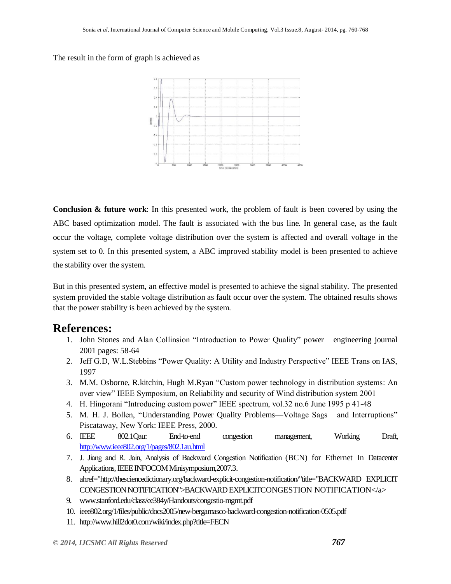The result in the form of graph is achieved as



**Conclusion & future work**: In this presented work, the problem of fault is been covered by using the ABC based optimization model. The fault is associated with the bus line. In general case, as the fault occur the voltage, complete voltage distribution over the system is affected and overall voltage in the system set to 0. In this presented system, a ABC improved stability model is been presented to achieve the stability over the system.

But in this presented system, an effective model is presented to achieve the signal stability. The presented system provided the stable voltage distribution as fault occur over the system. The obtained results shows that the power stability is been achieved by the system.

## **References:**

- 1. John Stones and Alan Collinsion "Introduction to Power Quality" power engineering journal 2001 pages: 58-64
- 2. Jeff G.D, W.L.Stebbins "Power Quality: A Utility and Industry Perspective" IEEE Trans on IAS, 1997
- 3. M.M. Osborne, R.kitchin, Hugh M.Ryan "Custom power technology in distribution systems: An over view" IEEE Symposium, on Reliability and security of Wind distribution system 2001
- 4. H. Hingorani "Introducing custom power" IEEE spectrum, vol.32 no.6 June 1995 p 41-48
- 5. M. H. J. Bollen, "Understanding Power Quality Problems—Voltage Sags and Interruptions" Piscataway, New York: IEEE Press, 2000.
- 6. IEEE 802.1Qau: End-to-end congestion management, Working Draft, <http://www.ieee802.org/1/pages/802.1au.html>
- 7. J. Jiang and R. Jain, Analysis of Backward Congestion Notification (BCN) for Ethernet In Datacenter Applications, IEEE INFOCOM Minisymposium,2007.3.
- 8. ahref="http://thesciencedictionary.org/backward-explicit-congestion-notification/"title="BACKWARD EXPLICIT CONGESTION NOTIFICATION">BACKWARD EXPLICITCONGESTION NOTIFICATION</a>
- 9. [www.stanford.edu/class/ee384y/Handouts/congestio-mgmt.pdf](http://www.stanford.edu/class/ee384y/Handouts/congestio-mgmt.pdf)
- 10. [ieee802.org/1/files/public/docs2005/new-bergamasco-backward-congestion-notification-0505.pdf](http://www.ieee802.org/1/files/public/docs2005/new-bergamasco-backward-congestion-notification-0505.pdf)
- 11. <http://www.hill2dot0.com/wiki/index.php?title=FECN>